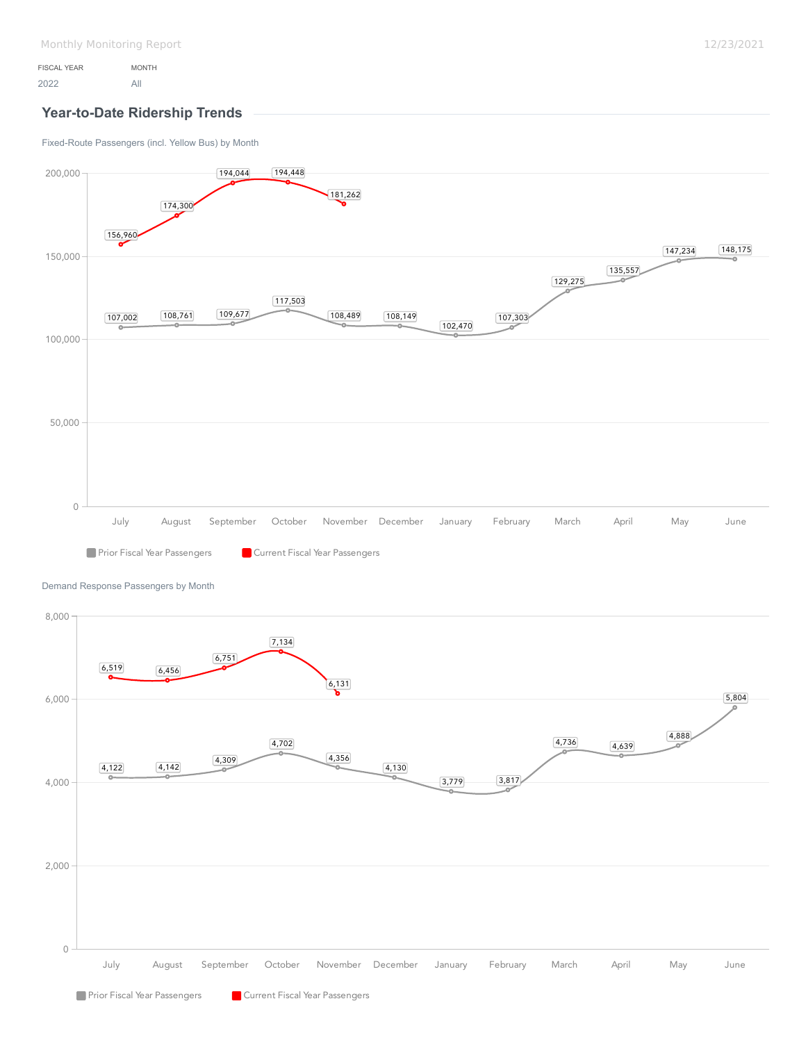## **Year-to-Date Ridership Trends**

[Fixed-Route Passengers \(incl. Yellow Bus\) by Month](https://analytics.transtrack.net/embedded.html#project=%2Fgdc%2Fprojects%2Fph7vkpt6d15wfrwooz9f6wh5y8cu0ylz&dashboard=%2Fgdc%2Fmd%2Fph7vkpt6d15wfrwooz9f6wh5y8cu0ylz%2Fobj%2F50135&tab=a489474901cb&export=1&ctx=%2Fgdc%2Fprojects%2Fph7vkpt6d15wfrwooz9f6wh5y8cu0ylz%2FexecutionContexts%2Ftmp61c4d90977d55dbd764390f7&request_id=uix883467effba8_100%3AbTlzm4AdrKPc2Rci%3Ayotas4n3ux9pgp9e%3A5&s=/gdc/workspaces/ph7vkpt6d15wfrwooz9f6wh5y8cu0ylz|analysisPage|head|/gdc/md/ph7vkpt6d15wfrwooz9f6wh5y8cu0ylz/obj/50133)



[Demand Response Passengers by Month](https://analytics.transtrack.net/embedded.html#project=%2Fgdc%2Fprojects%2Fph7vkpt6d15wfrwooz9f6wh5y8cu0ylz&dashboard=%2Fgdc%2Fmd%2Fph7vkpt6d15wfrwooz9f6wh5y8cu0ylz%2Fobj%2F50135&tab=a489474901cb&export=1&ctx=%2Fgdc%2Fprojects%2Fph7vkpt6d15wfrwooz9f6wh5y8cu0ylz%2FexecutionContexts%2Ftmp61c4d90977d55dbd764390f7&request_id=uix883467effba8_100%3AbTlzm4AdrKPc2Rci%3Ayotas4n3ux9pgp9e%3A5&s=/gdc/workspaces/ph7vkpt6d15wfrwooz9f6wh5y8cu0ylz|analysisPage|head|/gdc/md/ph7vkpt6d15wfrwooz9f6wh5y8cu0ylz/obj/64518)